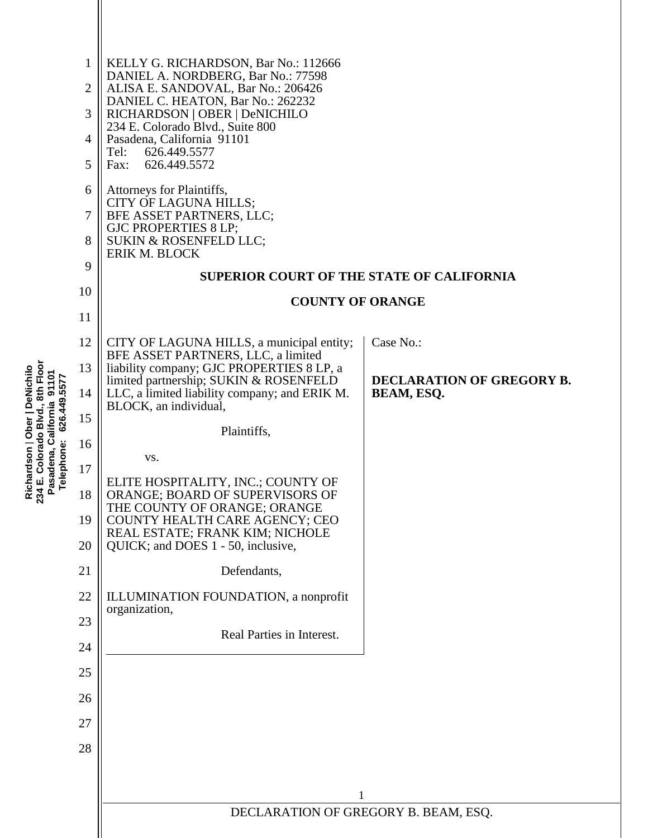| 8th Floo<br>ardson   Ober   DeNichilo<br>১<br>১৭<br>৯<br>626.449.5577<br>California<br><b>Colorado Blvd</b><br>ephone:<br>adena,<br>Richa<br>234 E.<br>Pasa<br>Tele | 1<br>$\overline{2}$<br>3<br>4<br>5<br>6<br>$\overline{7}$<br>8<br>9<br>10<br>11<br>12 | KELLY G. RICHARDSON, Bar No.: 112666<br>DANIEL A. NORDBERG, Bar No.: 77598<br>ALISA E. SANDOVAL, Bar No.: 206426<br>DANIEL C. HEATON, Bar No.: 262232<br>RICHARDSON   OBER   DeNICHILO<br>234 E. Colorado Blvd., Suite 800<br>Pasadena, California 91101<br>626.449.5577<br>Tel:<br>626.449.5572<br>Fax:<br>Attorneys for Plaintiffs,<br>CITY OF LAGUNA HILLS;<br>BFE ASSET PARTNERS, LLC;<br><b>GJC PROPERTIES 8 LP;</b><br>SUKIN & ROSENFELD LLC;<br>ERIK M. BLOCK<br><b>SUPERIOR COURT OF THE STATE OF CALIFORNIA</b><br><b>COUNTY OF ORANGE</b><br>CITY OF LAGUNA HILLS, a municipal entity;<br>BFE ASSET PARTNERS, LLC, a limited | Case No.:                                             |
|---------------------------------------------------------------------------------------------------------------------------------------------------------------------|---------------------------------------------------------------------------------------|----------------------------------------------------------------------------------------------------------------------------------------------------------------------------------------------------------------------------------------------------------------------------------------------------------------------------------------------------------------------------------------------------------------------------------------------------------------------------------------------------------------------------------------------------------------------------------------------------------------------------------------|-------------------------------------------------------|
|                                                                                                                                                                     | 13<br>14                                                                              | liability company; GJC PROPERTIES 8 LP, a<br>limited partnership; SUKIN & ROSENFELD<br>LLC, a limited liability company; and ERIK M.<br>BLOCK, an individual,                                                                                                                                                                                                                                                                                                                                                                                                                                                                          | <b>DECLARATION OF GREGORY B.</b><br><b>BEAM, ESQ.</b> |
|                                                                                                                                                                     | 15<br>16<br>17<br>18<br>19<br>20<br>21<br>22<br>23<br>24<br>25<br>26<br>27<br>28      | Plaintiffs,<br>VS.<br>ELITE HOSPITALITY, INC.; COUNTY OF<br>ORANGE; BOARD OF SUPERVISORS OF<br>THE COUNTY OF ORANGE; ORANGE<br>COUNTY HEALTH CARE AGENCY; CEO<br>REAL ESTATE; FRANK KIM; NICHOLE<br>QUICK; and DOES 1 - 50, inclusive,<br>Defendants,<br>ILLUMINATION FOUNDATION, a nonprofit<br>organization,<br>Real Parties in Interest.<br>1                                                                                                                                                                                                                                                                                       |                                                       |
|                                                                                                                                                                     |                                                                                       | DECLARATION OF GREGORY B. BEAM, ESQ.                                                                                                                                                                                                                                                                                                                                                                                                                                                                                                                                                                                                   |                                                       |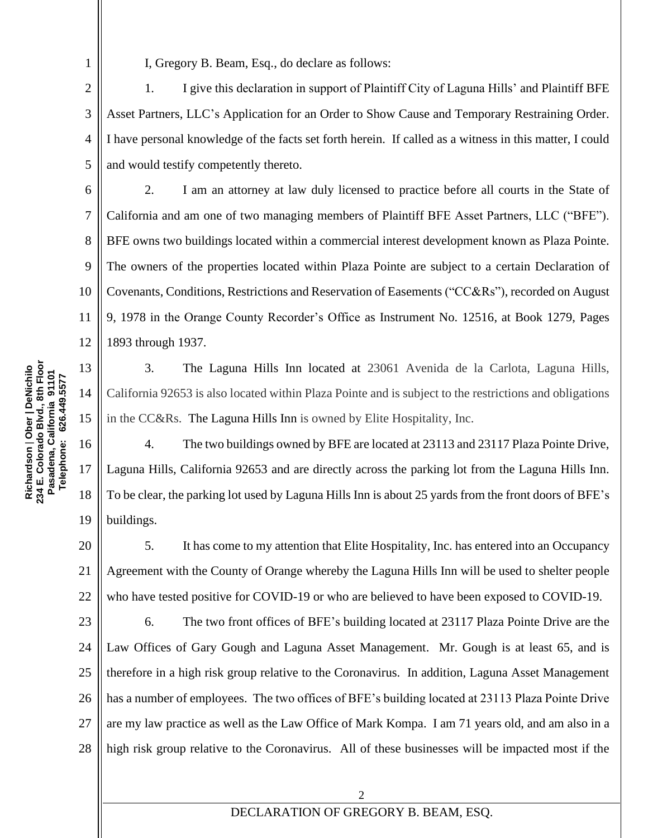1

7

11

13

14

15

16

17

18

19

I, Gregory B. Beam, Esq., do declare as follows:

2 3 4 5 1. I give this declaration in support of Plaintiff City of Laguna Hills' and Plaintiff BFE Asset Partners, LLC's Application for an Order to Show Cause and Temporary Restraining Order. I have personal knowledge of the facts set forth herein. If called as a witness in this matter, I could and would testify competently thereto.

6 8 9 10 12 2. I am an attorney at law duly licensed to practice before all courts in the State of California and am one of two managing members of Plaintiff BFE Asset Partners, LLC ("BFE"). BFE owns two buildings located within a commercial interest development known as Plaza Pointe. The owners of the properties located within Plaza Pointe are subject to a certain Declaration of Covenants, Conditions, Restrictions and Reservation of Easements ("CC&Rs"), recorded on August 9, 1978 in the Orange County Recorder's Office as Instrument No. 12516, at Book 1279, Pages 1893 through 1937.

3. The Laguna Hills Inn located at 23061 Avenida de la Carlota, Laguna Hills, California 92653 is also located within Plaza Pointe and is subject to the restrictions and obligations in the CC&Rs. The Laguna Hills Inn is owned by Elite Hospitality, Inc.

4. The two buildings owned by BFE are located at 23113 and 23117 Plaza Pointe Drive, Laguna Hills, California 92653 and are directly across the parking lot from the Laguna Hills Inn. To be clear, the parking lot used by Laguna Hills Inn is about 25 yards from the front doors of BFE's buildings.

20 21 22 5. It has come to my attention that Elite Hospitality, Inc. has entered into an Occupancy Agreement with the County of Orange whereby the Laguna Hills Inn will be used to shelter people who have tested positive for COVID-19 or who are believed to have been exposed to COVID-19.

23 24 25 26 27 28 6. The two front offices of BFE's building located at 23117 Plaza Pointe Drive are the Law Offices of Gary Gough and Laguna Asset Management. Mr. Gough is at least 65, and is therefore in a high risk group relative to the Coronavirus. In addition, Laguna Asset Management has a number of employees. The two offices of BFE's building located at 23113 Plaza Pointe Drive are my law practice as well as the Law Office of Mark Kompa. I am 71 years old, and am also in a high risk group relative to the Coronavirus. All of these businesses will be impacted most if the

## DECLARATION OF GREGORY B. BEAM, ESQ.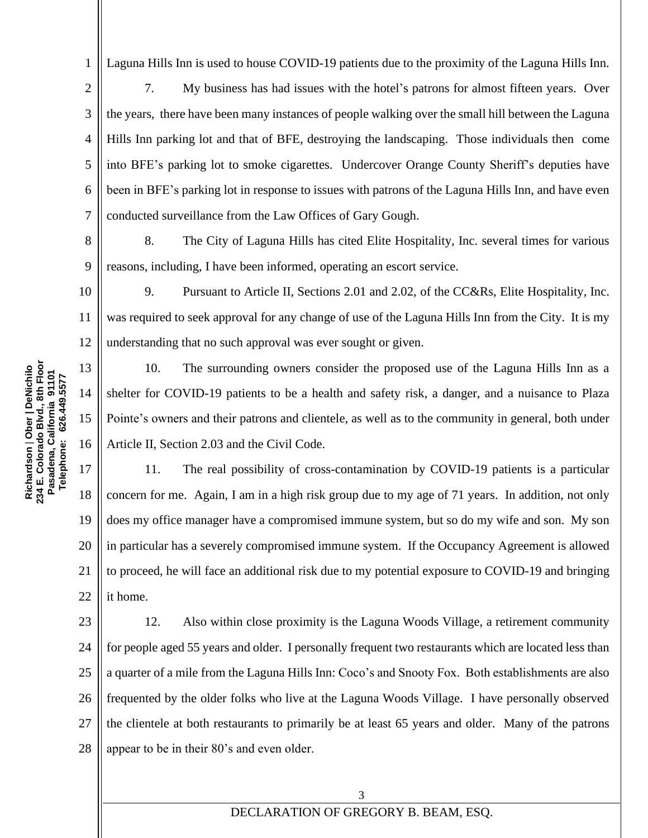Laguna Hills Inn is used to house COVID-19 patients due to the proximity of the Laguna Hills Inn.

7. My business has had issues with the hotel's patrons for almost fifteen years. Over the years, there have been many instances of people walking over the small hill between the Laguna Hills Inn parking lot and that of BFE, destroying the landscaping. Those individuals then come into BFE's parking lot to smoke cigarettes. Undercover Orange County Sheriff's deputies have been in BFE's parking lot in response to issues with patrons of the Laguna Hills Inn, and have even conducted surveillance from the Law Offices of Gary Gough.

9 8. The City of Laguna Hills has cited Elite Hospitality, Inc. several times for various reasons, including, I have been informed, operating an escort service.

10 11 12 9. Pursuant to Article II, Sections 2.01 and 2.02, of the CC&Rs, Elite Hospitality, Inc. was required to seek approval for any change of use of the Laguna Hills Inn from the City. It is my understanding that no such approval was ever sought or given.

10. The surrounding owners consider the proposed use of the Laguna Hills Inn as a shelter for COVID-19 patients to be a health and safety risk, a danger, and a nuisance to Plaza Pointe's owners and their patrons and clientele, as well as to the community in general, both under Article II, Section 2.03 and the Civil Code.

17 18 19 20 21 22 11. The real possibility of cross-contamination by COVID-19 patients is a particular concern for me. Again, I am in a high risk group due to my age of 71 years. In addition, not only does my office manager have a compromised immune system, but so do my wife and son. My son in particular has a severely compromised immune system. If the Occupancy Agreement is allowed to proceed, he will face an additional risk due to my potential exposure to COVID-19 and bringing it home.

23 24 25 26 27 28 12. Also within close proximity is the Laguna Woods Village, a retirement community for people aged 55 years and older. I personally frequent two restaurants which are located less than a quarter of a mile from the Laguna Hills Inn: Coco's and Snooty Fox. Both establishments are also frequented by the older folks who live at the Laguna Woods Village. I have personally observed the clientele at both restaurants to primarily be at least 65 years and older. Many of the patrons appear to be in their 80's and even older.

1

2

3

4

5

6

7

8

13

14

15

16

3